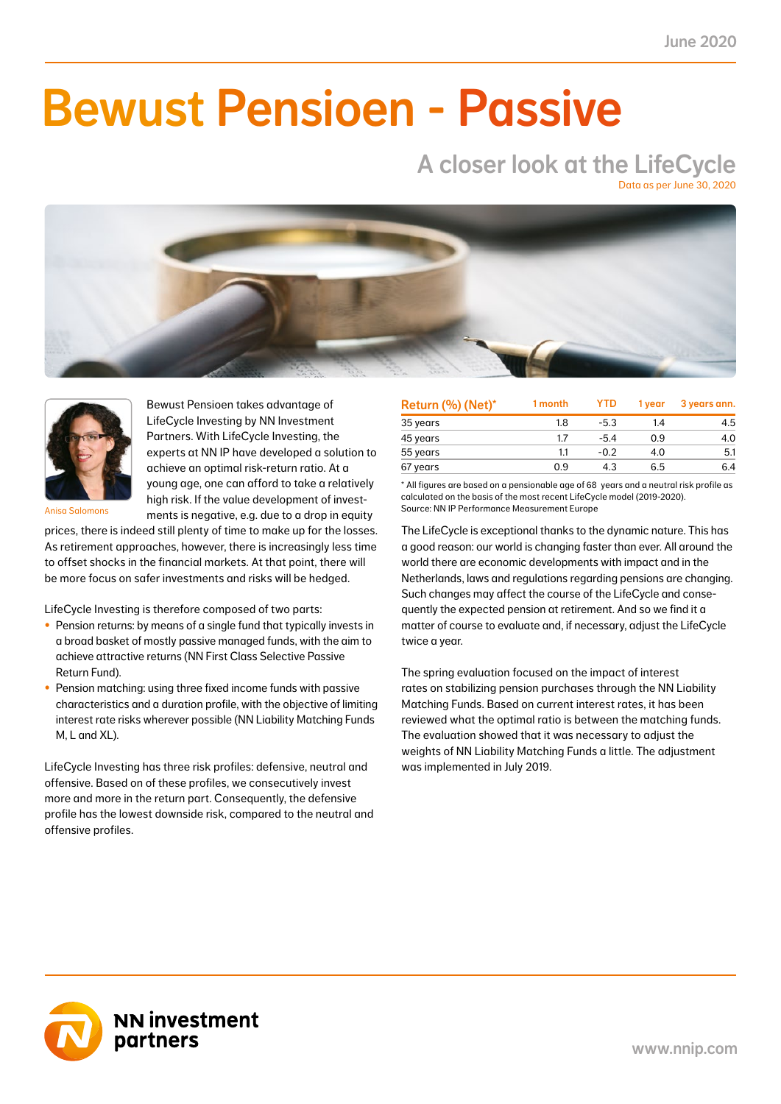NN First Class Selective Passive Return Fund 2.0 0.8 -7.4 -3.1 -0.2 -0.1 3.6 1.5 11.3 4.8 41.0

### NN Liability Matching Fund M 0.4 0.1 1.0 0.4 0.3 0.1 1.2 0.5 3.6 1.5 38.0  $\blacksquare$  IIMAAILIA NN Liability Matching Fund XL -0.2 0.0 27.9 3.1 34.6 3.7 24.6 2.6 93.4 8.2 11.0 Bewust Pensioen - Passive

### A closer look at the LifeCycle Data as per June 30, 2020





Bewust Pensioen takes advantage of LifeCycle Investing by NN Investment Partners. With LifeCycle Investing, the experts at NN IP have developed a solution to achieve an optimal risk-return ratio. At a young age, one can afford to take a relatively high risk. If the value development of investments is negative, e.g. due to a drop in equity

Anisa Salomons

prices, there is indeed still plenty of time to make up for the losses. As retirement approaches, however, there is increasingly less time to offset shocks in the financial markets. At that point, there will be more focus on safer investments and risks will be hedged.

LifeCycle Investing is therefore composed of two parts:

- Pension returns: by means of a single fund that typically invests in a broad basket of mostly passive managed funds, with the aim to achieve attractive returns (NN First Class Selective Passive Return Fund).
- Pension matching: using three fixed income funds with passive characteristics and a duration profile, with the objective of limiting interest rate risks wherever possible (NN Liability Matching Funds M, L and XL).

LifeCycle Investing has three risk profiles: defensive, neutral and offensive. Based on of these profiles, we consecutively invest more and more in the return part. Consequently, the defensive profile has the lowest downside risk, compared to the neutral and offensive profiles.

| Return (%) (Net)* | 1 month | <b>YTD</b> | 1 vear | 3 years ann. |
|-------------------|---------|------------|--------|--------------|
| 35 years          | 1.8     | $-5.3$     | 14     | 4.5          |
| 45 years          | 1.7     | $-5.4$     | 0.9    | 4.0          |
| 55 years          | 1.1     | $-0.2$     | 4.0    | 5.1          |
| 67 years          | 0.9     | 4.3        | 6.5    | 6.4          |

\* All figures are based on a pensionable age of 68 years and a neutral risk profile as calculated on the basis of the most recent LifeCycle model (2019-2020). Source: NN IP Performance Measurement Europe

The LifeCycle is exceptional thanks to the dynamic nature. This has a good reason: our world is changing faster than ever. All around the world there are economic developments with impact and in the Netherlands, laws and regulations regarding pensions are changing. Such changes may affect the course of the LifeCycle and consequently the expected pension at retirement. And so we find it a matter of course to evaluate and, if necessary, adjust the LifeCycle twice a year.

The spring evaluation focused on the impact of interest rates on stabilizing pension purchases through the NN Liability Matching Funds. Based on current interest rates, it has been reviewed what the optimal ratio is between the matching funds. The evaluation showed that it was necessary to adjust the weights of NN Liability Matching Funds a little. The adjustment was implemented in July 2019.

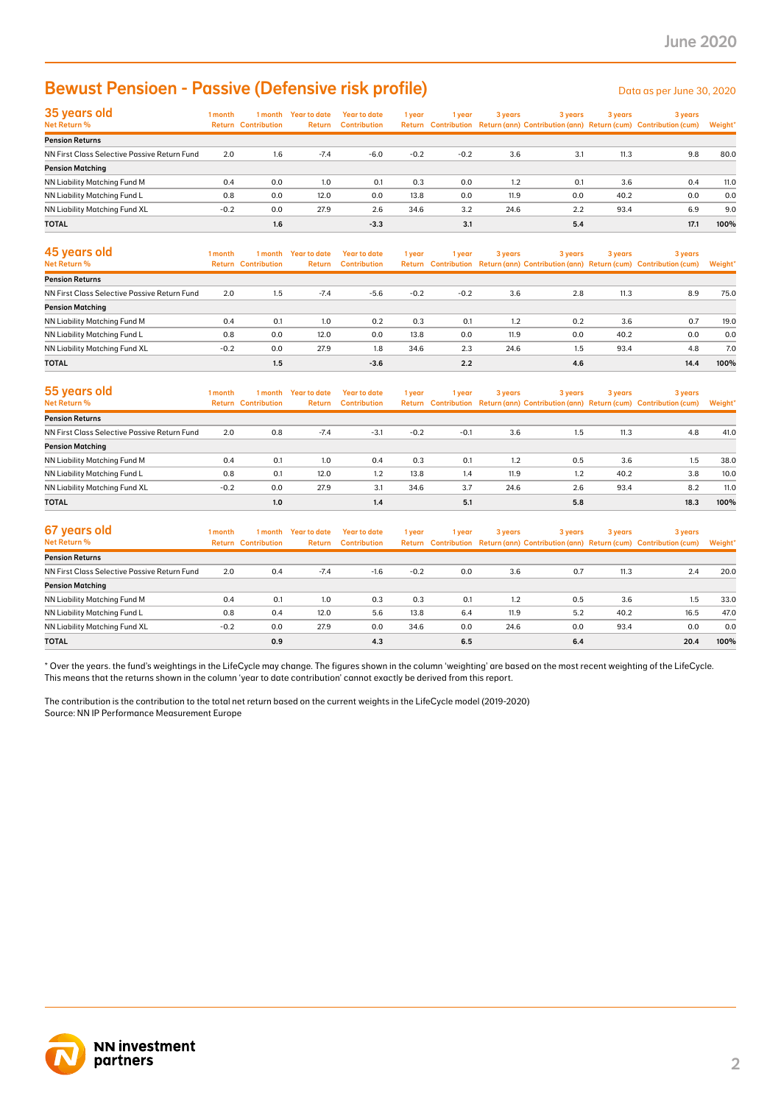# Bewust Pensioen - Passive (Defensive risk profile)

| 35 years old<br>Net Return %                 | 1 month | 1 month                    | Year to date | <b>Year to date</b> | 1 year | 1 year | 3 years | 3 years | 3 years | 3 years                                                                             |         |
|----------------------------------------------|---------|----------------------------|--------------|---------------------|--------|--------|---------|---------|---------|-------------------------------------------------------------------------------------|---------|
|                                              |         | <b>Return Contribution</b> | Return       | <b>Contribution</b> |        |        |         |         |         | Return Contribution Return (ann) Contribution (ann) Return (cum) Contribution (cum) | Weight* |
| <b>Pension Returns</b>                       |         |                            |              |                     |        |        |         |         |         |                                                                                     |         |
| NN First Class Selective Passive Return Fund | 2.0     | 1.6                        | $-7.4$       | $-6.0$              | $-0.2$ | $-0.2$ | 3.6     | 3.1     | 11.3    | 9.8                                                                                 | 80.0    |
| <b>Pension Matching</b>                      |         |                            |              |                     |        |        |         |         |         |                                                                                     |         |
| NN Liability Matching Fund M                 | 0.4     | 0.0                        | 1.0          | 0.1                 | 0.3    | 0.0    | 1.2     | 0.1     | 3.6     | 0.4                                                                                 | 11.0    |
| NN Liability Matching Fund L                 | 0.8     | 0.0                        | 12.0         | 0.0                 | 13.8   | 0.0    | 11.9    | 0.0     | 40.2    | 0.0                                                                                 | 0.0     |
| NN Liability Matching Fund XL                | $-0.2$  | 0.0                        | 27.9         | 2.6                 | 34.6   | 3.2    | 24.6    | 2.2     | 93.4    | 6.9                                                                                 | 9.0     |
| <b>TOTAL</b>                                 |         | 1.6                        |              | $-3.3$              |        | 3.1    |         | 5.4     |         | 17.1                                                                                | 100%    |

| <b>Bewust Pensioen - Passive (Defensive risk profile)</b>                                                                                                                                                                                                                                                                                                                                                                                                                          |               |                                       |                                |                                            |              |            |              |            |              | Data as per June 30, 2020                                                                      |             |
|------------------------------------------------------------------------------------------------------------------------------------------------------------------------------------------------------------------------------------------------------------------------------------------------------------------------------------------------------------------------------------------------------------------------------------------------------------------------------------|---------------|---------------------------------------|--------------------------------|--------------------------------------------|--------------|------------|--------------|------------|--------------|------------------------------------------------------------------------------------------------|-------------|
| 35 years old<br>Net Return %                                                                                                                                                                                                                                                                                                                                                                                                                                                       | 1 month       | <b>Return Contribution</b>            | 1 month Year to date<br>Return | <b>Year to date</b><br><b>Contribution</b> | 1 year       | 1 year     | 3 years      | 3 years    | 3 years      | 3 years<br>Return Contribution Return (ann) Contribution (ann) Return (cum) Contribution (cum) | Weight'     |
| <b>Pension Returns</b>                                                                                                                                                                                                                                                                                                                                                                                                                                                             |               |                                       |                                |                                            |              |            |              |            |              |                                                                                                |             |
| NN First Class Selective Passive Return Fund                                                                                                                                                                                                                                                                                                                                                                                                                                       | 2.0           | 1.6                                   | $-7.4$                         | $-6.0$                                     | $-0.2$       | $-0.2$     | 3.6          | 3.1        | 11.3         | 9.8                                                                                            | 80.0        |
| <b>Pension Matching</b>                                                                                                                                                                                                                                                                                                                                                                                                                                                            |               |                                       |                                |                                            |              |            |              |            |              |                                                                                                |             |
| NN Liability Matching Fund M                                                                                                                                                                                                                                                                                                                                                                                                                                                       | 0.4           | 0.0                                   | 1.0                            | 0.1                                        | 0.3          | 0.0        | 1.2          | 0.1        | 3.6          | 0.4                                                                                            | 11.0        |
| NN Liability Matching Fund L                                                                                                                                                                                                                                                                                                                                                                                                                                                       | 0.8<br>$-0.2$ | 0.0<br>0.0                            | 12.0<br>27.9                   | 0.0<br>2.6                                 | 13.8<br>34.6 | 0.0<br>3.2 | 11.9<br>24.6 | 0.0<br>2.2 | 40.2<br>93.4 | 0.0<br>6.9                                                                                     | 0.0<br>9.0  |
| NN Liability Matching Fund XL<br><b>TOTAL</b>                                                                                                                                                                                                                                                                                                                                                                                                                                      |               | 1.6                                   |                                |                                            |              |            |              |            |              | 17.1                                                                                           | 100%        |
|                                                                                                                                                                                                                                                                                                                                                                                                                                                                                    |               |                                       |                                | $-3.3$                                     |              | 3.1        |              | 5.4        |              |                                                                                                |             |
| 45 years old<br>Net Return %                                                                                                                                                                                                                                                                                                                                                                                                                                                       | 1 month       | 1 month<br><b>Return Contribution</b> | <b>Year to date</b><br>Return  | <b>Year to date</b><br><b>Contribution</b> | 1 year       | 1 year     | 3 years      | 3 years    | 3 years      | 3 years<br>Return Contribution Return (ann) Contribution (ann) Return (cum) Contribution (cum) | Weight'     |
| <b>Pension Returns</b>                                                                                                                                                                                                                                                                                                                                                                                                                                                             |               |                                       |                                |                                            |              |            |              |            |              |                                                                                                |             |
| NN First Class Selective Passive Return Fund                                                                                                                                                                                                                                                                                                                                                                                                                                       | 2.0           | 1.5                                   | $-7.4$                         | $-5.6$                                     | $-0.2$       | $-0.2$     | 3.6          | 2.8        | 11.3         | 8.9                                                                                            | 75.0        |
| <b>Pension Matching</b>                                                                                                                                                                                                                                                                                                                                                                                                                                                            |               |                                       |                                |                                            |              |            |              |            |              |                                                                                                |             |
| NN Liability Matching Fund M                                                                                                                                                                                                                                                                                                                                                                                                                                                       | 0.4           | 0.1                                   | 1.0                            | 0.2                                        | 0.3          | 0.1        | 1.2          | 0.2        | 3.6          | 0.7                                                                                            | 19.0        |
| NN Liability Matching Fund L                                                                                                                                                                                                                                                                                                                                                                                                                                                       | 0.8           | 0.0                                   | 12.0                           | 0.0                                        | 13.8         | 0.0        | 11.9         | 0.0        | 40.2         | 0.0                                                                                            | 0.0         |
| NN Liability Matching Fund XL                                                                                                                                                                                                                                                                                                                                                                                                                                                      | $-0.2$        | 0.0                                   | 27.9                           | 1.8                                        | 34.6         | 2.3        | 24.6         | 1.5        | 93.4         | 4.8                                                                                            | 7.0         |
| TOTAL                                                                                                                                                                                                                                                                                                                                                                                                                                                                              |               | 1.5                                   |                                | $-3.6$                                     |              | 2.2        |              | 4.6        |              | 14.4                                                                                           | 100%        |
| 55 years old                                                                                                                                                                                                                                                                                                                                                                                                                                                                       | 1 month       | 1 month                               | <b>Year to date</b>            | <b>Year to date</b>                        | 1 year       | 1 year     | 3 years      | 3 years    | 3 years      | 3 years                                                                                        |             |
| Net Return %                                                                                                                                                                                                                                                                                                                                                                                                                                                                       |               | <b>Return Contribution</b>            | Return                         | <b>Contribution</b>                        |              |            |              |            |              | Return Contribution Return (ann) Contribution (ann) Return (cum) Contribution (cum)            | Weight*     |
| <b>Pension Returns</b>                                                                                                                                                                                                                                                                                                                                                                                                                                                             |               |                                       |                                |                                            |              |            |              |            |              |                                                                                                |             |
| NN First Class Selective Passive Return Fund<br><b>Pension Matching</b>                                                                                                                                                                                                                                                                                                                                                                                                            | 2.0           | 0.8                                   | $-7.4$                         | $-3.1$                                     | $-0.2$       | $-0.1$     | 3.6          | 1.5        | 11.3         | 4.8                                                                                            | 41.0        |
| NN Liability Matching Fund M                                                                                                                                                                                                                                                                                                                                                                                                                                                       | 0.4           | 0.1                                   | 1.0                            | 0.4                                        | 0.3          | 0.1        | 1.2          | 0.5        | 3.6          | 1.5                                                                                            | 38.0        |
| NN Liability Matching Fund L                                                                                                                                                                                                                                                                                                                                                                                                                                                       | 0.8           | 0.1                                   | 12.0                           | 1.2                                        | 13.8         | 1.4        | 11.9         | 1.2        | 40.2         | 3.8                                                                                            | 10.0        |
| NN Liability Matching Fund XL                                                                                                                                                                                                                                                                                                                                                                                                                                                      | $-0.2$        | 0.0                                   | 27.9                           | 3.1                                        | 34.6         | 3.7        | 24.6         | 2.6        | 93.4         | 8.2                                                                                            | 11.0        |
| <b>TOTAL</b>                                                                                                                                                                                                                                                                                                                                                                                                                                                                       |               | 1.0                                   |                                | 1.4                                        |              | 5.1        |              | 5.8        |              | 18.3                                                                                           | 100%        |
| 67 years old                                                                                                                                                                                                                                                                                                                                                                                                                                                                       | 1 month       | 1 month                               | <b>Year to date</b>            | <b>Year to date</b>                        | 1 year       | 1 year     | 3 years      | 3 years    | 3 years      | 3 years                                                                                        |             |
| Net Return %                                                                                                                                                                                                                                                                                                                                                                                                                                                                       |               | <b>Return Contribution</b>            | Return                         | <b>Contribution</b>                        |              |            |              |            |              | Return Contribution Return (ann) Contribution (ann) Return (cum) Contribution (cum)            | Weight'     |
| <b>Pension Returns</b>                                                                                                                                                                                                                                                                                                                                                                                                                                                             |               |                                       |                                |                                            |              |            |              |            |              |                                                                                                |             |
| NN First Class Selective Passive Return Fund                                                                                                                                                                                                                                                                                                                                                                                                                                       | 2.0           | 0.4                                   | $-7.4$                         | $-1.6$                                     | $-0.2$       | 0.0        | 3.6          | 0.7        | 11.3         | 2.4                                                                                            | 20.0        |
| <b>Pension Matching</b>                                                                                                                                                                                                                                                                                                                                                                                                                                                            |               |                                       |                                |                                            |              |            |              |            |              |                                                                                                |             |
| NN Liability Matching Fund M                                                                                                                                                                                                                                                                                                                                                                                                                                                       | 0.4           | 0.1                                   | 1.0                            | 0.3                                        | 0.3          | 0.1        | 1.2          | 0.5        | 3.6          | 1.5                                                                                            | 33.0        |
| NN Liability Matching Fund L                                                                                                                                                                                                                                                                                                                                                                                                                                                       | 0.8           | 0.4                                   | 12.0                           | 5.6                                        | 13.8         | 6.4        | 11.9         | 5.2        | 40.2         | 16.5                                                                                           | 47.0        |
| NN Liability Matching Fund XL<br><b>TOTAL</b>                                                                                                                                                                                                                                                                                                                                                                                                                                      | $-0.2$        | 0.0<br>0.9                            | 27.9                           | 0.0<br>4.3                                 | 34.6         | 0.0<br>6.5 | 24.6         | 0.0<br>6.4 | 93.4         | 0.0<br>20.4                                                                                    | 0.0<br>100% |
| Over the years. the fund's weightings in the LifeCycle may change. The figures shown in the column 'weighting' are based on the most recent weighting of the LifeCycle.<br>This means that the returns shown in the column 'year to date contribution' cannot exactly be derived from this report.<br>The contribution is the contribution to the total net return based on the current weights in the LifeCycle model (2019-2020)<br>Source: NN IP Performance Measurement Europe |               |                                       |                                |                                            |              |            |              |            |              |                                                                                                |             |
|                                                                                                                                                                                                                                                                                                                                                                                                                                                                                    |               |                                       |                                |                                            |              |            |              |            |              |                                                                                                |             |
| <b>NN investment</b><br>partners                                                                                                                                                                                                                                                                                                                                                                                                                                                   |               |                                       |                                |                                            |              |            |              |            |              |                                                                                                |             |

| 55 years old                                 | 1 month | 1 month                    | <b>Year to date</b><br><b>Year to date</b><br>3 years<br>1 year<br>l year | 3 years             | 3 years | 3 years |      |     |      |                                                                                     |         |
|----------------------------------------------|---------|----------------------------|---------------------------------------------------------------------------|---------------------|---------|---------|------|-----|------|-------------------------------------------------------------------------------------|---------|
| <b>Net Return %</b>                          |         | <b>Return Contribution</b> | Return                                                                    | <b>Contribution</b> |         |         |      |     |      | Return Contribution Return (ann) Contribution (ann) Return (cum) Contribution (cum) | Weight* |
| <b>Pension Returns</b>                       |         |                            |                                                                           |                     |         |         |      |     |      |                                                                                     |         |
| NN First Class Selective Passive Return Fund | 2.0     | 0.8                        | $-7.4$                                                                    | $-3.1$              | $-0.2$  | $-0.1$  | 3.6  | 1.5 | 11.3 | 4.8                                                                                 | 41.0    |
| <b>Pension Matching</b>                      |         |                            |                                                                           |                     |         |         |      |     |      |                                                                                     |         |
| NN Liability Matching Fund M                 | 0.4     | 0.1                        | 1.0                                                                       | 0.4                 | 0.3     | 0.1     | 1.2  | 0.5 | 3.6  | 1.5                                                                                 | 38.0    |
| NN Liability Matching Fund L                 | 0.8     | 0.1                        | 12.0                                                                      | 1.2                 | 13.8    | 1.4     | 11.9 | 1.2 | 40.2 | 3.8                                                                                 | 10.0    |
| NN Liability Matching Fund XL                | $-0.2$  | 0.0                        | 27.9                                                                      | 3.1                 | 34.6    | 3.7     | 24.6 | 2.6 | 93.4 | 8.2                                                                                 | 11.0    |
| <b>TOTAL</b>                                 |         | 1.0                        |                                                                           | 1.4                 |         | 5.1     |      | 5.8 |      | 18.3                                                                                | 100%    |

| 67 years old                                 | 1 month | 1 month                    | <b>Year to date</b> | <b>Year to date</b> | 1 year | 1 year | 3 years | 3 years | 3 years | 3 years                                                                             |         |
|----------------------------------------------|---------|----------------------------|---------------------|---------------------|--------|--------|---------|---------|---------|-------------------------------------------------------------------------------------|---------|
| Net Return %                                 |         | <b>Return Contribution</b> | Return              | <b>Contribution</b> |        |        |         |         |         | Return Contribution Return (ann) Contribution (ann) Return (cum) Contribution (cum) | Weight* |
| <b>Pension Returns</b>                       |         |                            |                     |                     |        |        |         |         |         |                                                                                     |         |
| NN First Class Selective Passive Return Fund | 2.0     | 0.4                        | $-7.4$              | $-1.6$              | $-0.2$ | 0.0    | 3.6     | 0.7     | 11.3    | 2.4                                                                                 | 20.0    |
| <b>Pension Matching</b>                      |         |                            |                     |                     |        |        |         |         |         |                                                                                     |         |
| NN Liability Matching Fund M                 | 0.4     | 0.1                        | 1.0                 | 0.3                 | 0.3    | 0.1    | 1.2     | 0.5     | 3.6     | 1.5                                                                                 | 33.0    |
| NN Liability Matching Fund L                 | 0.8     | 0.4                        | 12.0                | 5.6                 | 13.8   | 6.4    | 11.9    | 5.2     | 40.2    | 16.5                                                                                | 47.0    |
| NN Liability Matching Fund XL                | $-0.2$  | 0.0                        | 27.9                | 0.0                 | 34.6   | 0.0    | 24.6    | 0.0     | 93.4    | 0.0                                                                                 | 0.0     |
| <b>TOTAL</b>                                 |         | 0.9                        |                     | 4.3                 |        | 6.5    |         | 6.4     |         | 20.4                                                                                | 100%    |

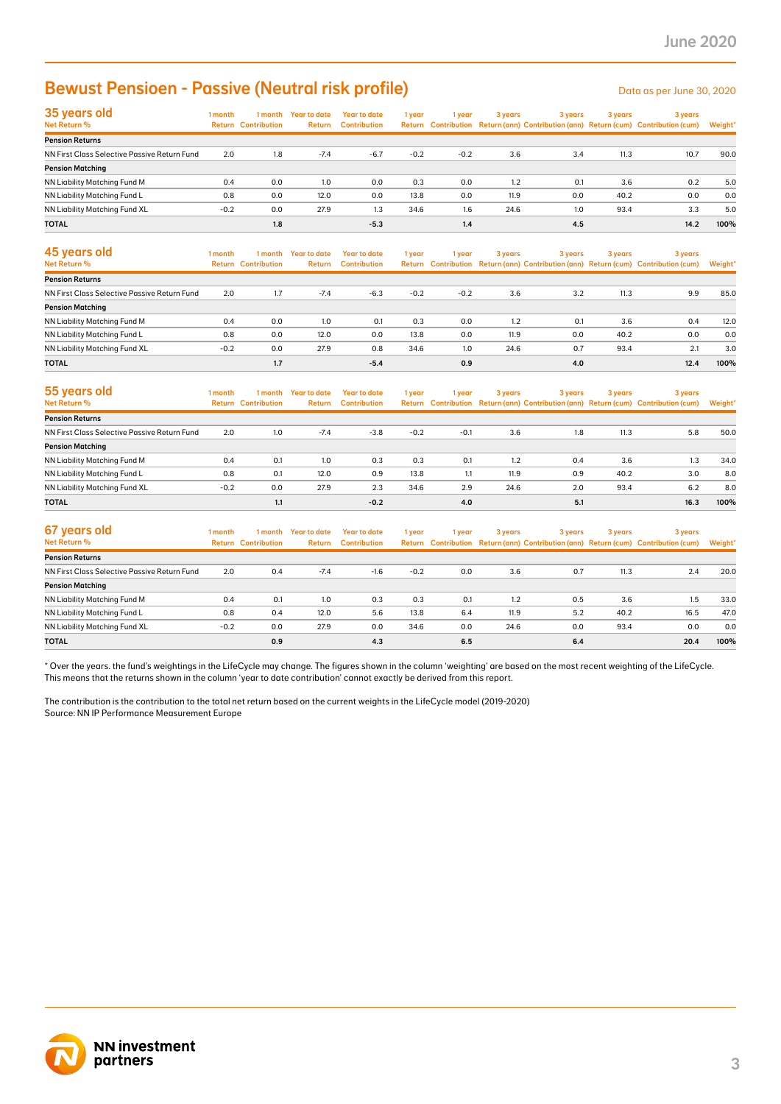# **Bewust Pensioen - Passive (Neutral risk profile)** Data as per June 30, 2020

| 35 years old                                 | 1 month | 1 month                    | Year to date | Year to date        | 1 year | 1 year | 3 years | 3 years | 3 years | 3 years                                                                             |         |
|----------------------------------------------|---------|----------------------------|--------------|---------------------|--------|--------|---------|---------|---------|-------------------------------------------------------------------------------------|---------|
| Net Return %                                 |         | <b>Return Contribution</b> | Return       | <b>Contribution</b> |        |        |         |         |         | Return Contribution Return (ann) Contribution (ann) Return (cum) Contribution (cum) | Weight* |
| <b>Pension Returns</b>                       |         |                            |              |                     |        |        |         |         |         |                                                                                     |         |
| NN First Class Selective Passive Return Fund | 2.0     | 1.8                        | $-7.4$       | $-6.7$              | $-0.2$ | $-0.2$ | 3.6     | 3.4     | 11.3    | 10.7                                                                                | 90.0    |
| <b>Pension Matching</b>                      |         |                            |              |                     |        |        |         |         |         |                                                                                     |         |
| NN Liability Matching Fund M                 | 0.4     | 0.0                        | 1.0          | 0.0                 | 0.3    | 0.0    | 1.2     | 0.1     | 3.6     | 0.2                                                                                 | 5.0     |
| NN Liability Matching Fund L                 | 0.8     | 0.0                        | 12.0         | 0.0                 | 13.8   | 0.0    | 11.9    | 0.0     | 40.2    | 0.0                                                                                 | 0.0     |
| NN Liability Matching Fund XL                | $-0.2$  | 0.0                        | 27.9         | 1.3                 | 34.6   | 1.6    | 24.6    | 1.0     | 93.4    | 3.3                                                                                 | 5.0     |
| <b>TOTAL</b>                                 |         | 1.8                        |              | $-5.3$              |        | 1.4    |         | 4.5     |         | 14.2                                                                                | 100%    |

| <b>Bewust Pensioen - Passive (Neutral risk profile)</b>                                                                                                                                                                                                                                                 |         |                                       |                                      |                                            |        |        |         |         |         | Data as per June 30, 2020                                                                      |         |
|---------------------------------------------------------------------------------------------------------------------------------------------------------------------------------------------------------------------------------------------------------------------------------------------------------|---------|---------------------------------------|--------------------------------------|--------------------------------------------|--------|--------|---------|---------|---------|------------------------------------------------------------------------------------------------|---------|
| 35 years old<br>Net Return %                                                                                                                                                                                                                                                                            | 1 month | <b>Return Contribution</b>            | 1 month Year to date<br>Return       | <b>Year to date</b><br><b>Contribution</b> | 1 year | 1 year | 3 years | 3 years | 3 years | 3 years<br>Return Contribution Return (ann) Contribution (ann) Return (cum) Contribution (cum) | Weight' |
| <b>Pension Returns</b>                                                                                                                                                                                                                                                                                  |         |                                       |                                      |                                            |        |        |         |         |         |                                                                                                |         |
| NN First Class Selective Passive Return Fund                                                                                                                                                                                                                                                            | 2.0     | 1.8                                   | $-7.4$                               | $-6.7$                                     | $-0.2$ | $-0.2$ | 3.6     | 3.4     | 11.3    | 10.7                                                                                           | 90.0    |
| <b>Pension Matching</b><br>NN Liability Matching Fund M                                                                                                                                                                                                                                                 | 0.4     | 0.0                                   | 1.0                                  | 0.0                                        | 0.3    | 0.0    | 1.2     | 0.1     | 3.6     | 0.2                                                                                            | 5.0     |
| NN Liability Matching Fund L                                                                                                                                                                                                                                                                            | 0.8     | 0.0                                   | 12.0                                 | 0.0                                        | 13.8   | 0.0    | 11.9    | 0.0     | 40.2    | 0.0                                                                                            | 0.0     |
| NN Liability Matching Fund XL                                                                                                                                                                                                                                                                           | $-0.2$  | 0.0                                   | 27.9                                 | 1.3                                        | 34.6   | 1.6    | 24.6    | 1.0     | 93.4    | 3.3                                                                                            | 5.0     |
| TOTAL                                                                                                                                                                                                                                                                                                   |         | 1.8                                   |                                      | $-5.3$                                     |        | 1.4    |         | 4.5     |         | 14.2                                                                                           | 100%    |
| 45 years old<br>Net Return %                                                                                                                                                                                                                                                                            | 1 month | 1 month<br><b>Return Contribution</b> | <b>Year to date</b><br><b>Return</b> | <b>Year to date</b><br><b>Contribution</b> | 1 year | 1 year | 3 years | 3 years | 3 years | 3 years<br>Return Contribution Return (ann) Contribution (ann) Return (cum) Contribution (cum) | Weight' |
| <b>Pension Returns</b>                                                                                                                                                                                                                                                                                  |         |                                       |                                      |                                            |        |        |         |         |         |                                                                                                |         |
| NN First Class Selective Passive Return Fund                                                                                                                                                                                                                                                            | 2.0     | 1.7                                   | $-7.4$                               | $-6.3$                                     | $-0.2$ | $-0.2$ | 3.6     | 3.2     | 11.3    | 9.9                                                                                            | 85.0    |
| <b>Pension Matching</b>                                                                                                                                                                                                                                                                                 |         |                                       |                                      |                                            |        |        |         |         |         |                                                                                                |         |
| NN Liability Matching Fund M                                                                                                                                                                                                                                                                            | 0.4     | 0.0                                   | 1.0                                  | 0.1                                        | 0.3    | 0.0    | 1.2     | 0.1     | 3.6     | 0.4                                                                                            | 12.0    |
| NN Liability Matching Fund L                                                                                                                                                                                                                                                                            | 0.8     | 0.0                                   | 12.0                                 | 0.0                                        | 13.8   | 0.0    | 11.9    | 0.0     | 40.2    | 0.0                                                                                            | 0.0     |
| NN Liability Matching Fund XL                                                                                                                                                                                                                                                                           | $-0.2$  | 0.0                                   | 27.9                                 | 0.8                                        | 34.6   | 1.0    | 24.6    | 0.7     | 93.4    | 2.1                                                                                            | 3.0     |
| TOTAL                                                                                                                                                                                                                                                                                                   |         | 1.7                                   |                                      | $-5.4$                                     |        | 0.9    |         | 4.0     |         | 12.4                                                                                           | 100%    |
| 55 years old<br><b>Net Return %</b>                                                                                                                                                                                                                                                                     | 1 month | 1 month<br><b>Return Contribution</b> | <b>Year to date</b><br>Return        | <b>Year to date</b><br><b>Contribution</b> | 1 year | 1 year | 3 years | 3 years | 3 years | 3 years<br>Return Contribution Return (ann) Contribution (ann) Return (cum) Contribution (cum) | Weight' |
| <b>Pension Returns</b>                                                                                                                                                                                                                                                                                  |         |                                       |                                      |                                            |        |        |         |         |         |                                                                                                |         |
| NN First Class Selective Passive Return Fund                                                                                                                                                                                                                                                            | 2.0     | 1.0                                   | $-7.4$                               | $-3.8$                                     | $-0.2$ | $-0.1$ | 3.6     | 1.8     | 11.3    | 5.8                                                                                            | 50.0    |
| <b>Pension Matching</b>                                                                                                                                                                                                                                                                                 |         |                                       |                                      |                                            |        |        |         |         |         |                                                                                                |         |
| NN Liability Matching Fund M                                                                                                                                                                                                                                                                            | 0.4     | 0.1                                   | 1.0                                  | 0.3                                        | 0.3    | 0.1    | 1.2     | 0.4     | 3.6     | 1.3                                                                                            | 34.0    |
| NN Liability Matching Fund L                                                                                                                                                                                                                                                                            | 0.8     | 0.1                                   | 12.0                                 | 0.9                                        | 13.8   | 1.1    | 11.9    | 0.9     | 40.2    | 3.0                                                                                            | 8.0     |
| NN Liability Matching Fund XL                                                                                                                                                                                                                                                                           | $-0.2$  | 0.0                                   | 27.9                                 | 2.3                                        | 34.6   | 2.9    | 24.6    | 2.0     | 93.4    | 6.2                                                                                            | 8.0     |
| <b>TOTAL</b>                                                                                                                                                                                                                                                                                            |         | 1.1                                   |                                      | $-0.2$                                     |        | 4.0    |         | 5.1     |         | 16.3                                                                                           | 100%    |
| 67 years old<br>Net Return %                                                                                                                                                                                                                                                                            | 1 month | 1 month<br><b>Return Contribution</b> | <b>Year to date</b><br>Return        | <b>Year to date</b><br><b>Contribution</b> | 1 year | 1 year | 3 years | 3 years | 3 years | 3 years<br>Return Contribution Return (ann) Contribution (ann) Return (cum) Contribution (cum) | Weight' |
| <b>Pension Returns</b>                                                                                                                                                                                                                                                                                  |         |                                       |                                      |                                            |        |        |         |         |         |                                                                                                |         |
| NN First Class Selective Passive Return Fund                                                                                                                                                                                                                                                            | 2.0     | 0.4                                   | $-7.4$                               | $-1.6$                                     | $-0.2$ | 0.0    | 3.6     | 0.7     | 11.3    | 2.4                                                                                            | 20.0    |
| <b>Pension Matching</b>                                                                                                                                                                                                                                                                                 |         |                                       |                                      |                                            |        |        |         |         |         |                                                                                                |         |
| NN Liability Matching Fund M                                                                                                                                                                                                                                                                            | 0.4     | 0.1                                   | 1.0                                  | 0.3                                        | 0.3    | 0.1    | 1.2     | 0.5     | 3.6     | 1.5                                                                                            | 33.0    |
| NN Liability Matching Fund L                                                                                                                                                                                                                                                                            | 0.8     | 0.4                                   | 12.0                                 | 5.6                                        | 13.8   | 6.4    | 11.9    | 5.2     | 40.2    | 16.5                                                                                           | 47.0    |
| NN Liability Matching Fund XL                                                                                                                                                                                                                                                                           | $-0.2$  | 0.0                                   | 27.9                                 | 0.0                                        | 34.6   | 0.0    | 24.6    | 0.0     | 93.4    | 0.0                                                                                            | 0.0     |
| TOTAL                                                                                                                                                                                                                                                                                                   |         | 0.9                                   |                                      | 4.3                                        |        | 6.5    |         | 6.4     |         | 20.4                                                                                           | 100%    |
| This means that the returns shown in the column 'year to date contribution' cannot exactly be derived from this report.<br>The contribution is the contribution to the total net return based on the current weights in the LifeCycle model (2019-2020)<br>Source: NN IP Performance Measurement Europe |         |                                       |                                      |                                            |        |        |         |         |         |                                                                                                |         |
| <b>NN investment</b><br>partners                                                                                                                                                                                                                                                                        |         |                                       |                                      |                                            |        |        |         |         |         |                                                                                                |         |

| 55 years old                                 | 1 month | 1 month                    | <b>Year to date</b> | Year to date        | 1 year | l year | 3 years | 3 years |      | 3 years                                                                             | 3 years |  |
|----------------------------------------------|---------|----------------------------|---------------------|---------------------|--------|--------|---------|---------|------|-------------------------------------------------------------------------------------|---------|--|
| Net Return %                                 |         | <b>Return Contribution</b> | Return              | <b>Contribution</b> |        |        |         |         |      | Return Contribution Return (ann) Contribution (ann) Return (cum) Contribution (cum) | Weight* |  |
| <b>Pension Returns</b>                       |         |                            |                     |                     |        |        |         |         |      |                                                                                     |         |  |
| NN First Class Selective Passive Return Fund | 2.0     | 1.0                        | $-7.4$              | $-3.8$              | $-0.2$ | $-0.1$ | 3.6     | 1.8     | 11.3 | 5.8                                                                                 | 50.0    |  |
| <b>Pension Matching</b>                      |         |                            |                     |                     |        |        |         |         |      |                                                                                     |         |  |
| NN Liability Matching Fund M                 | 0.4     | 0.1                        | 1.0                 | 0.3                 | 0.3    | 0.1    | 1.2     | 0.4     | 3.6  | 1.3                                                                                 | 34.0    |  |
| NN Liability Matching Fund L                 | 0.8     | 0.1                        | 12.0                | 0.9                 | 13.8   | 1.1    | 11.9    | 0.9     | 40.2 | 3.0                                                                                 | 8.0     |  |
| NN Liability Matching Fund XL                | $-0.2$  | 0.0                        | 27.9                | 2.3                 | 34.6   | 2.9    | 24.6    | 2.0     | 93.4 | 6.2                                                                                 | 8.0     |  |
| <b>TOTAL</b>                                 |         | 1.1                        |                     | $-0.2$              |        | 4.0    |         | 5.1     |      | 16.3                                                                                | 100%    |  |

| 67 years old                                 | 1 month | 1 month                    | <b>Year to date</b> | <b>Year to date</b> | 1 year | 1 year | 3 years | 3 years | 3 years | 3 years                                                                             |         |
|----------------------------------------------|---------|----------------------------|---------------------|---------------------|--------|--------|---------|---------|---------|-------------------------------------------------------------------------------------|---------|
| Net Return %                                 |         | <b>Return Contribution</b> | Return              | <b>Contribution</b> |        |        |         |         |         | Return Contribution Return (ann) Contribution (ann) Return (cum) Contribution (cum) | Weight* |
| <b>Pension Returns</b>                       |         |                            |                     |                     |        |        |         |         |         |                                                                                     |         |
| NN First Class Selective Passive Return Fund | 2.0     | 0.4                        | $-7.4$              | $-1.6$              | $-0.2$ | 0.0    | 3.6     | 0.7     | 11.3    | 2.4                                                                                 | 20.0    |
| <b>Pension Matching</b>                      |         |                            |                     |                     |        |        |         |         |         |                                                                                     |         |
| NN Liability Matching Fund M                 | 0.4     | 0.1                        | 1.0                 | 0.3                 | 0.3    | 0.1    | 1.2     | 0.5     | 3.6     | 1.5                                                                                 | 33.0    |
| NN Liability Matching Fund L                 | 0.8     | 0.4                        | 12.0                | 5.6                 | 13.8   | 6.4    | 11.9    | 5.2     | 40.2    | 16.5                                                                                | 47.0    |
| NN Liability Matching Fund XL                | $-0.2$  | 0.0                        | 27.9                | 0.0                 | 34.6   | 0.0    | 24.6    | 0.0     | 93.4    | 0.0                                                                                 | 0.0     |
| <b>TOTAL</b>                                 |         | 0.9                        |                     | 4.3                 |        | 6.5    |         | 6.4     |         | 20.4                                                                                | 100%    |